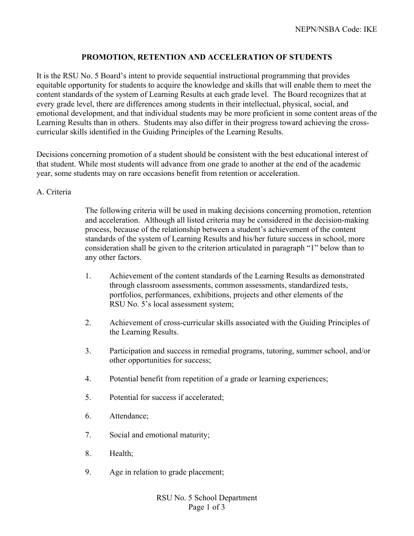# **PROMOTION, RETENTION AND ACCELERATION OF STUDENTS**

It is the RSU No. 5 Board's intent to provide sequential instructional programming that provides equitable opportunity for students to acquire the knowledge and skills that will enable them to meet the content standards of the system of Learning Results at each grade level. The Board recognizes that at every grade level, there are differences among students in their intellectual, physical, social, and emotional development, and that individual students may be more proficient in some content areas of the Learning Results than in others. Students may also differ in their progress toward achieving the crosscurricular skills identified in the Guiding Principles of the Learning Results.

Decisions concerning promotion of a student should be consistent with the best educational interest of that student. While most students will advance from one grade to another at the end of the academic year, some students may on rare occasions benefit from retention or acceleration.

#### A. Criteria

The following criteria will be used in making decisions concerning promotion, retention and acceleration. Although all listed criteria may be considered in the decision-making process, because of the relationship between a student's achievement of the content standards of the system of Learning Results and his/her future success in school, more consideration shall be given to the criterion articulated in paragraph "1" below than to any other factors.

- 1. Achievement of the content standards of the Learning Results as demonstrated through classroom assessments, common assessments, standardized tests, portfolios, performances, exhibitions, projects and other elements of the RSU No. 5's local assessment system;
- 2. Achievement of cross-curricular skills associated with the Guiding Principles of the Learning Results.
- 3. Participation and success in remedial programs, tutoring, summer school, and/or other opportunities for success;
- 4. Potential benefit from repetition of a grade or learning experiences;
- 5. Potential for success if accelerated;
- 6. Attendance;
- 7. Social and emotional maturity;
- 8. Health;
- 9. Age in relation to grade placement;

RSU No. 5 School Department Page 1 of 3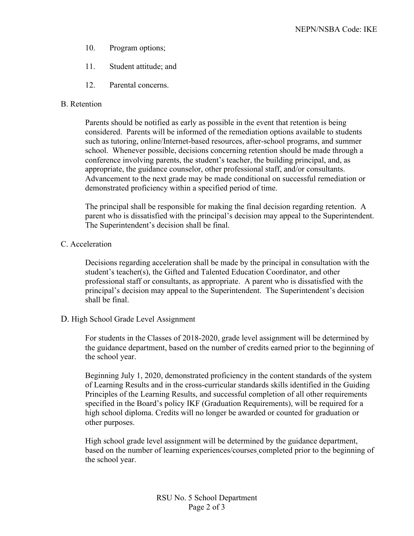- 10. Program options;
- 11. Student attitude; and
- 12. Parental concerns.

### B. Retention

Parents should be notified as early as possible in the event that retention is being considered. Parents will be informed of the remediation options available to students such as tutoring, online/Internet-based resources, after-school programs, and summer school. Whenever possible, decisions concerning retention should be made through a conference involving parents, the student's teacher, the building principal, and, as appropriate, the guidance counselor, other professional staff, and/or consultants. Advancement to the next grade may be made conditional on successful remediation or demonstrated proficiency within a specified period of time.

The principal shall be responsible for making the final decision regarding retention. A parent who is dissatisfied with the principal's decision may appeal to the Superintendent. The Superintendent's decision shall be final.

## C. Acceleration

Decisions regarding acceleration shall be made by the principal in consultation with the student's teacher(s), the Gifted and Talented Education Coordinator, and other professional staff or consultants, as appropriate. A parent who is dissatisfied with the principal's decision may appeal to the Superintendent. The Superintendent's decision shall be final.

### D. High School Grade Level Assignment

For students in the Classes of 2018-2020, grade level assignment will be determined by the guidance department, based on the number of credits earned prior to the beginning of the school year.

Beginning July 1, 2020, demonstrated proficiency in the content standards of the system of Learning Results and in the cross-curricular standards skills identified in the Guiding Principles of the Learning Results, and successful completion of all other requirements specified in the Board's policy IKF (Graduation Requirements), will be required for a high school diploma. Credits will no longer be awarded or counted for graduation or other purposes.

High school grade level assignment will be determined by the guidance department, based on the number of learning experiences/courses completed prior to the beginning of the school year.